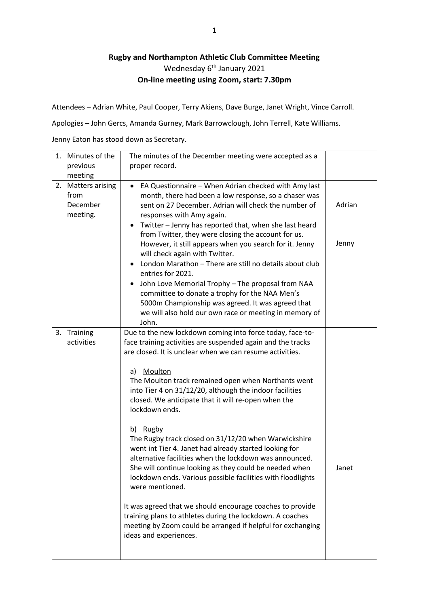## **Rugby and Northampton Athletic Club Committee Meeting** Wednesday 6<sup>th</sup> January 2021 **On-line meeting using Zoom, start: 7.30pm**

Attendees – Adrian White, Paul Cooper, Terry Akiens, Dave Burge, Janet Wright, Vince Carroll.

Apologies – John Gercs, Amanda Gurney, Mark Barrowclough, John Terrell, Kate Williams.

Jenny Eaton has stood down as Secretary.

| 1. Minutes of the                                  | The minutes of the December meeting were accepted as a                                                                                                                                                                                                                                                                                                                                                                                                                                                                                                                                                                                                                                                                                                 |                 |
|----------------------------------------------------|--------------------------------------------------------------------------------------------------------------------------------------------------------------------------------------------------------------------------------------------------------------------------------------------------------------------------------------------------------------------------------------------------------------------------------------------------------------------------------------------------------------------------------------------------------------------------------------------------------------------------------------------------------------------------------------------------------------------------------------------------------|-----------------|
| previous                                           | proper record.                                                                                                                                                                                                                                                                                                                                                                                                                                                                                                                                                                                                                                                                                                                                         |                 |
| meeting                                            |                                                                                                                                                                                                                                                                                                                                                                                                                                                                                                                                                                                                                                                                                                                                                        |                 |
| 2. Matters arising<br>from<br>December<br>meeting. | EA Questionnaire - When Adrian checked with Amy last<br>$\bullet$<br>month, there had been a low response, so a chaser was<br>sent on 27 December. Adrian will check the number of<br>responses with Amy again.<br>Twitter - Jenny has reported that, when she last heard<br>٠<br>from Twitter, they were closing the account for us.<br>However, it still appears when you search for it. Jenny<br>will check again with Twitter.<br>London Marathon - There are still no details about club<br>entries for 2021.<br>John Love Memorial Trophy - The proposal from NAA<br>٠<br>committee to donate a trophy for the NAA Men's<br>5000m Championship was agreed. It was agreed that<br>we will also hold our own race or meeting in memory of<br>John. | Adrian<br>Jenny |
| 3. Training                                        | Due to the new lockdown coming into force today, face-to-                                                                                                                                                                                                                                                                                                                                                                                                                                                                                                                                                                                                                                                                                              |                 |
| activities                                         | face training activities are suspended again and the tracks<br>are closed. It is unclear when we can resume activities.<br>Moulton<br>a)<br>The Moulton track remained open when Northants went<br>into Tier 4 on 31/12/20, although the indoor facilities<br>closed. We anticipate that it will re-open when the<br>lockdown ends.<br>b) Rugby<br>The Rugby track closed on 31/12/20 when Warwickshire<br>went int Tier 4. Janet had already started looking for<br>alternative facilities when the lockdown was announced.<br>She will continue looking as they could be needed when<br>lockdown ends. Various possible facilities with floodlights<br>were mentioned.<br>It was agreed that we should encourage coaches to provide                  | Janet           |
|                                                    | training plans to athletes during the lockdown. A coaches<br>meeting by Zoom could be arranged if helpful for exchanging<br>ideas and experiences.                                                                                                                                                                                                                                                                                                                                                                                                                                                                                                                                                                                                     |                 |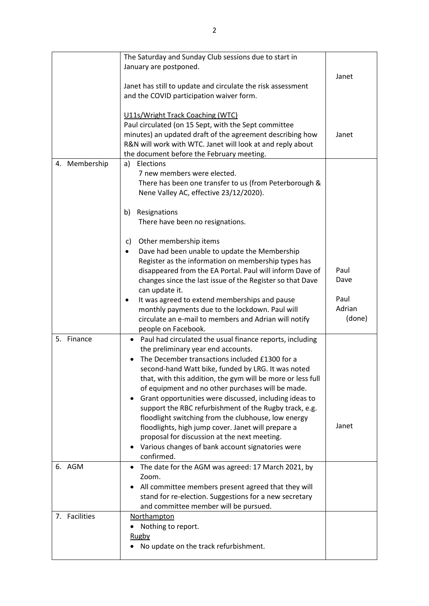|               | The Saturday and Sunday Club sessions due to start in                                                         |                |
|---------------|---------------------------------------------------------------------------------------------------------------|----------------|
|               | January are postponed.                                                                                        |                |
|               |                                                                                                               | Janet          |
|               | Janet has still to update and circulate the risk assessment                                                   |                |
|               | and the COVID participation waiver form.                                                                      |                |
|               |                                                                                                               |                |
|               | U11s/Wright Track Coaching (WTC)                                                                              |                |
|               | Paul circulated (on 15 Sept, with the Sept committee                                                          |                |
|               | minutes) an updated draft of the agreement describing how                                                     | Janet          |
|               | R&N will work with WTC. Janet will look at and reply about                                                    |                |
|               | the document before the February meeting.                                                                     |                |
| 4. Membership | Elections<br>a)                                                                                               |                |
|               | 7 new members were elected.                                                                                   |                |
|               | There has been one transfer to us (from Peterborough &                                                        |                |
|               | Nene Valley AC, effective 23/12/2020).                                                                        |                |
|               |                                                                                                               |                |
|               | Resignations<br>b)                                                                                            |                |
|               | There have been no resignations.                                                                              |                |
|               |                                                                                                               |                |
|               | Other membership items<br>C)                                                                                  |                |
|               | Dave had been unable to update the Membership<br>٠                                                            |                |
|               | Register as the information on membership types has                                                           |                |
|               | disappeared from the EA Portal. Paul will inform Dave of                                                      | Paul           |
|               | changes since the last issue of the Register so that Dave                                                     | Dave           |
|               | can update it.                                                                                                |                |
|               | It was agreed to extend memberships and pause<br>٠                                                            | Paul<br>Adrian |
|               | monthly payments due to the lockdown. Paul will                                                               |                |
|               | circulate an e-mail to members and Adrian will notify                                                         | (done)         |
|               | people on Facebook.                                                                                           |                |
| 5. Finance    | • Paul had circulated the usual finance reports, including                                                    |                |
|               | the preliminary year end accounts.                                                                            |                |
|               | The December transactions included £1300 for a                                                                |                |
|               | second-hand Watt bike, funded by LRG. It was noted                                                            |                |
|               | that, with this addition, the gym will be more or less full                                                   |                |
|               | of equipment and no other purchases will be made.                                                             |                |
|               | Grant opportunities were discussed, including ideas to                                                        |                |
|               | support the RBC refurbishment of the Rugby track, e.g.                                                        |                |
|               | floodlight switching from the clubhouse, low energy                                                           | Janet          |
|               | floodlights, high jump cover. Janet will prepare a                                                            |                |
|               | proposal for discussion at the next meeting.                                                                  |                |
|               | Various changes of bank account signatories were<br>confirmed.                                                |                |
| 6. AGM        | The date for the AGM was agreed: 17 March 2021, by<br>٠                                                       |                |
|               | Zoom.                                                                                                         |                |
|               |                                                                                                               |                |
|               | All committee members present agreed that they will<br>stand for re-election. Suggestions for a new secretary |                |
|               | and committee member will be pursued.                                                                         |                |
| 7. Facilities | Northampton                                                                                                   |                |
|               | Nothing to report.                                                                                            |                |
|               | <b>Rugby</b>                                                                                                  |                |
|               | No update on the track refurbishment.<br>٠                                                                    |                |
|               |                                                                                                               |                |